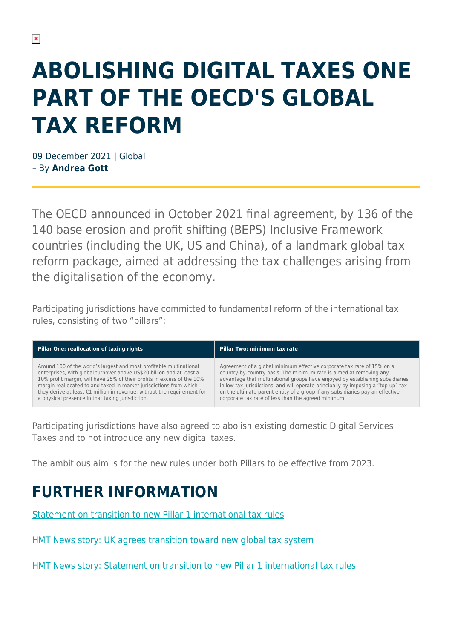## **ABOLISHING DIGITAL TAXES ONE PART OF THE OECD'S GLOBAL TAX REFORM**

09 December 2021 | Global – By **Andrea Gott**

The OECD announced in October 2021 final agreement, by 136 of the 140 base erosion and profit shifting (BEPS) Inclusive Framework countries (including the UK, US and China), of a landmark global tax reform package, aimed at addressing the tax challenges arising from the digitalisation of the economy.

Participating jurisdictions have committed to fundamental reform of the international tax rules, consisting of two "pillars":

| Pillar One: reallocation of taxing rights                                         | Pillar Two: minimum tax rate                                                      |
|-----------------------------------------------------------------------------------|-----------------------------------------------------------------------------------|
| Around 100 of the world's largest and most profitable multinational               | Agreement of a global minimum effective corporate tax rate of 15% on a            |
| enterprises, with global turnover above US\$20 billion and at least a             | country-by-country basis. The minimum rate is aimed at removing any               |
| 10% profit margin, will have 25% of their profits in excess of the 10%            | advantage that multinational groups have enjoyed by establishing subsidiaries     |
| margin reallocated to and taxed in market jurisdictions from which                | in low tax jurisdictions, and will operate principally by imposing a "top-up" tax |
| they derive at least $\epsilon$ 1 million in revenue, without the requirement for | on the ultimate parent entity of a group if any subsidiaries pay an effective     |
| a physical presence in that taxing jurisdiction.                                  | corporate tax rate of less than the agreed minimum                                |

Participating jurisdictions have also agreed to abolish existing domestic Digital Services Taxes and to not introduce any new digital taxes.

The ambitious aim is for the new rules under both Pillars to be effective from 2023.

## **FURTHER INFORMATION**

[Statement on transition to new Pillar 1 international tax rules](https://assets.publishing.service.gov.uk/government/uploads/system/uploads/attachment_data/file/1027640/Joint_statement.pdf)

[HMT News story: UK agrees transition toward new global tax system](https://www.gov.uk/government/news/uk-agrees-transition-toward-new-global-tax-system?utm_medium=email&utm_campaign=govuk-notifications&utm_source=5114a3c4-4739-4f70-b8be-772c0b5649d7&utm_content=immediately)

[HMT News story: Statement on transition to new Pillar 1 international tax rules](https://www.gov.uk/government/news/statement-on-transition-to-new-pillar-1-international-tax-rules?utm_medium=email&utm_campaign=govuk-notifications&utm_source=9f5dcd21-03b3-4634-94c5-761ee93b05cd&utm_content=immediately)